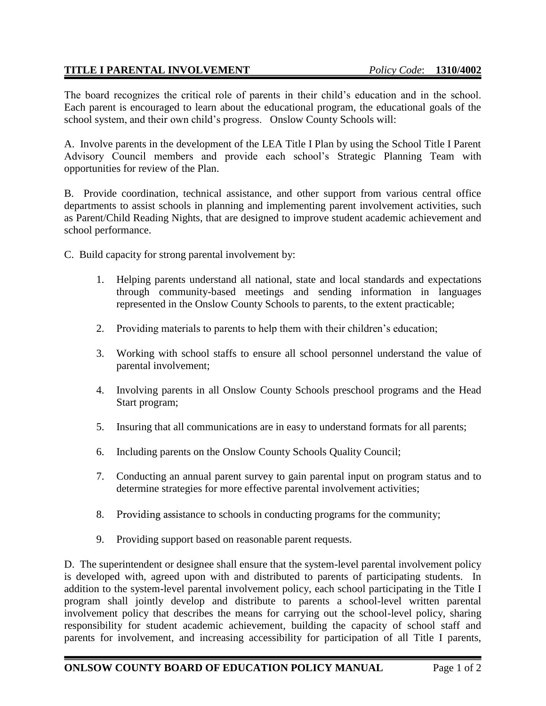## **TITLE I PARENTAL INVOLVEMENT** *Policy Code*: **1310/4002**

The board recognizes the critical role of parents in their child's education and in the school. Each parent is encouraged to learn about the educational program, the educational goals of the school system, and their own child's progress. Onslow County Schools will:

A. Involve parents in the development of the LEA Title I Plan by using the School Title I Parent Advisory Council members and provide each school's Strategic Planning Team with opportunities for review of the Plan.

B. Provide coordination, technical assistance, and other support from various central office departments to assist schools in planning and implementing parent involvement activities, such as Parent/Child Reading Nights, that are designed to improve student academic achievement and school performance.

C. Build capacity for strong parental involvement by:

- 1. Helping parents understand all national, state and local standards and expectations through community-based meetings and sending information in languages represented in the Onslow County Schools to parents, to the extent practicable;
- 2. Providing materials to parents to help them with their children's education;
- 3. Working with school staffs to ensure all school personnel understand the value of parental involvement;
- 4. Involving parents in all Onslow County Schools preschool programs and the Head Start program;
- 5. Insuring that all communications are in easy to understand formats for all parents;
- 6. Including parents on the Onslow County Schools Quality Council;
- 7. Conducting an annual parent survey to gain parental input on program status and to determine strategies for more effective parental involvement activities;
- 8. Providing assistance to schools in conducting programs for the community;
- 9. Providing support based on reasonable parent requests.

D. The superintendent or designee shall ensure that the system-level parental involvement policy is developed with, agreed upon with and distributed to parents of participating students. In addition to the system-level parental involvement policy, each school participating in the Title I program shall jointly develop and distribute to parents a school-level written parental involvement policy that describes the means for carrying out the school-level policy, sharing responsibility for student academic achievement, building the capacity of school staff and parents for involvement, and increasing accessibility for participation of all Title I parents,